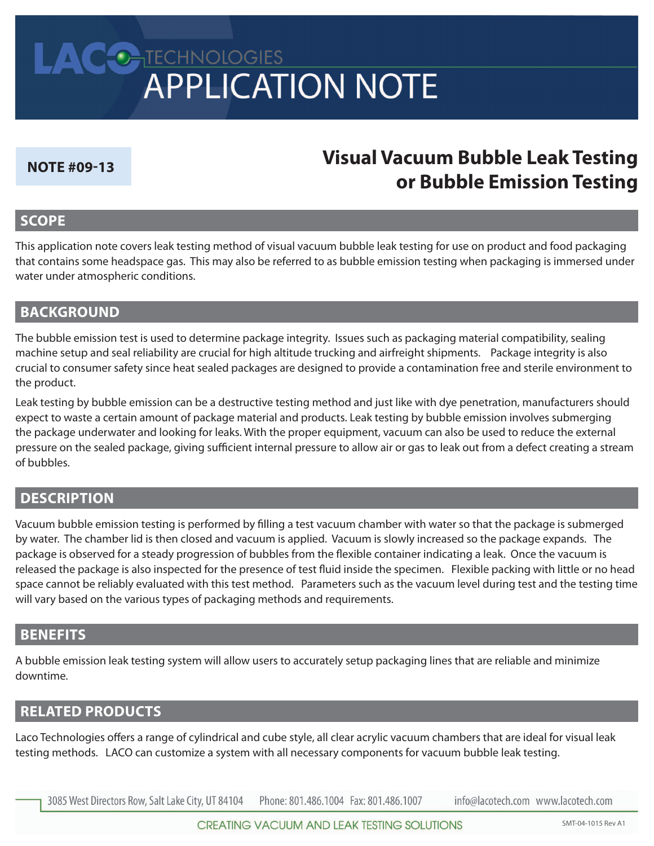# LACONTECHNOLOGIES<br>APPLICATION NOTE

#### **note #09-13**

# **Visual Vacuum Bubble leak testing or Bubble emission testing**

## **scoPe**

This application note covers leak testing method of visual vacuum bubble leak testing for use on product and food packaging that contains some headspace gas. This may also be referred to as bubble emission testing when packaging is immersed under water under atmospheric conditions.

# **BACKGROUND**

The bubble emission test is used to determine package integrity. Issues such as packaging material compatibility, sealing machine setup and seal reliability are crucial for high altitude trucking and airfreight shipments. Package integrity is also crucial to consumer safety since heat sealed packages are designed to provide a contamination free and sterile environment to the product.

Leak testing by bubble emission can be a destructive testing method and just like with dye penetration, manufacturers should expect to waste a certain amount of package material and products. Leak testing by bubble emission involves submerging the package underwater and looking for leaks. With the proper equipment, vacuum can also be used to reduce the external pressure on the sealed package, giving sufficient internal pressure to allow air or gas to leak out from a defect creating a stream of bubbles.

# **descRiPtion**

Vacuum bubble emission testing is performed by filling a test vacuum chamber with water so that the package is submerged by water. The chamber lid is then closed and vacuum is applied. Vacuum is slowly increased so the package expands. The package is observed for a steady progression of bubbles from the flexible container indicating a leak. Once the vacuum is released the package is also inspected for the presence of test fluid inside the specimen. Flexible packing with little or no head space cannot be reliably evaluated with this test method. Parameters such as the vacuum level during test and the testing time will vary based on the various types of packaging methods and requirements.

## **Benefits**

A bubble emission leak testing system will allow users to accurately setup packaging lines that are reliable and minimize downtime. 

# **Related PRoducts**

Laco Technologies offers a range of cylindrical and cube style, all clear acrylic vacuum chambers that are ideal for visual leak testing methods. LACO can customize a system with all necessary components for vacuum bubble leak testing.

3085 West Directors Row, Salt Lake City, UT 84104 Phone: 801.486.1004 Fax: 801.486.1007 info@lacotech.com www.lacotech.com